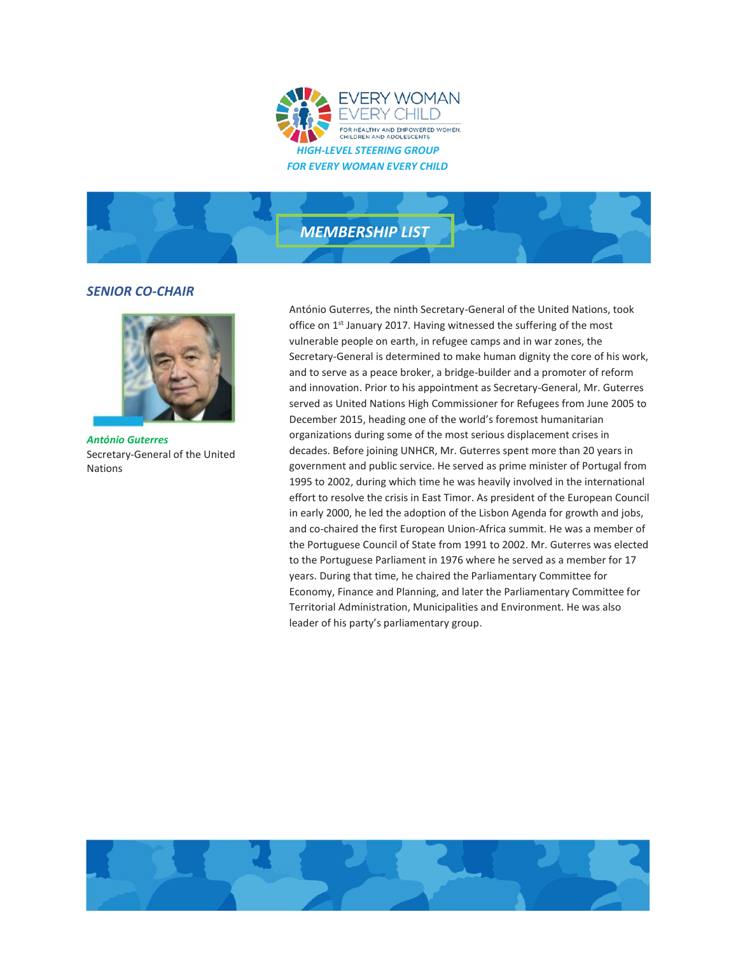



## *SENIOR CO-CHAIR*



*António Guterres* Secretary-General of the United Nations

António Guterres, the ninth Secretary-General of the United Nations, took office on 1<sup>st</sup> January 2017. Having witnessed the suffering of the most vulnerable people on earth, in refugee camps and in war zones, the Secretary-General is determined to make human dignity the core of his work, and to serve as a peace broker, a bridge-builder and a promoter of reform and innovation. Prior to his appointment as Secretary-General, Mr. Guterres served as United Nations High Commissioner for Refugees from June 2005 to December 2015, heading one of the world's foremost humanitarian organizations during some of the most serious displacement crises in decades. Before joining UNHCR, Mr. Guterres spent more than 20 years in government and public service. He served as prime minister of Portugal from 1995 to 2002, during which time he was heavily involved in the international effort to resolve the crisis in East Timor. As president of the European Council in early 2000, he led the adoption of the Lisbon Agenda for growth and jobs, and co-chaired the first European Union-Africa summit. He was a member of the Portuguese Council of State from 1991 to 2002. Mr. Guterres was elected to the Portuguese Parliament in 1976 where he served as a member for 17 years. During that time, he chaired the Parliamentary Committee for Economy, Finance and Planning, and later the Parliamentary Committee for Territorial Administration, Municipalities and Environment. He was also leader of his party's parliamentary group.

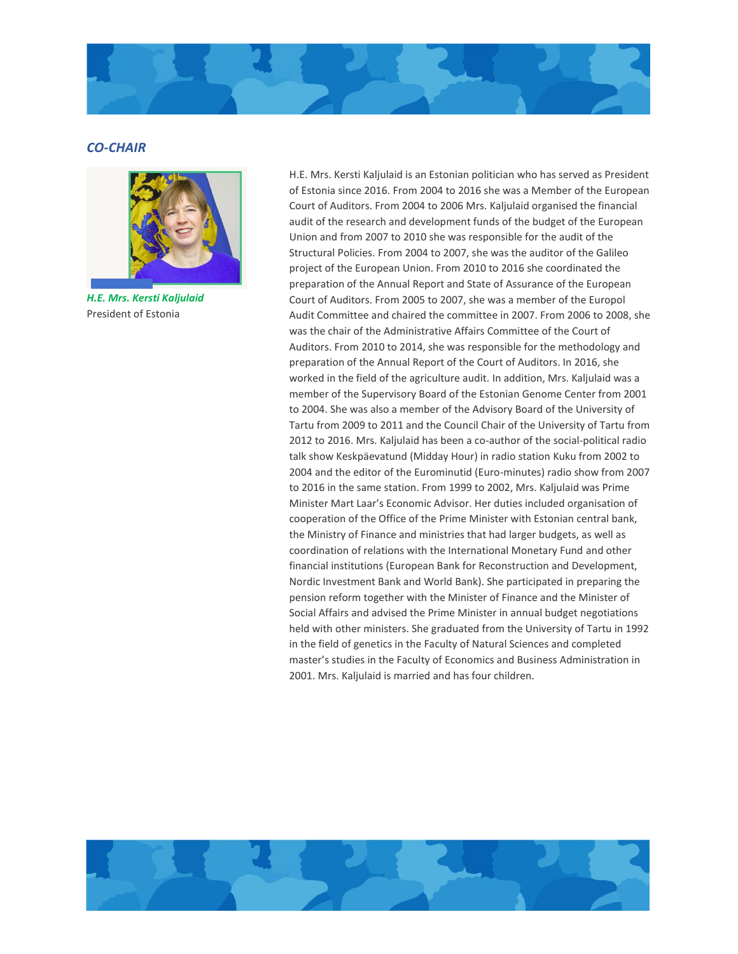

## *CO-CHAIR*



*H.E. Mrs. Kersti Kaljulaid* President of Estonia

H.E. Mrs. Kersti Kaljulaid is an Estonian politician who has served as President of Estonia since 2016. From 2004 to 2016 she was a Member of the European Court of Auditors. From 2004 to 2006 Mrs. Kaljulaid organised the financial audit of the research and development funds of the budget of the European Union and from 2007 to 2010 she was responsible for the audit of the Structural Policies. From 2004 to 2007, she was the auditor of the Galileo project of the European Union. From 2010 to 2016 she coordinated the preparation of the Annual Report and State of Assurance of the European Court of Auditors. From 2005 to 2007, she was a member of the Europol Audit Committee and chaired the committee in 2007. From 2006 to 2008, she was the chair of the Administrative Affairs Committee of the Court of Auditors. From 2010 to 2014, she was responsible for the methodology and preparation of the Annual Report of the Court of Auditors. In 2016, she worked in the field of the agriculture audit. In addition, Mrs. Kaljulaid was a member of the Supervisory Board of the Estonian Genome Center from 2001 to 2004. She was also a member of the Advisory Board of the University of Tartu from 2009 to 2011 and the Council Chair of the University of Tartu from 2012 to 2016. Mrs. Kaljulaid has been a co-author of the social-political radio talk show Keskpäevatund (Midday Hour) in radio station Kuku from 2002 to 2004 and the editor of the Eurominutid (Euro-minutes) radio show from 2007 to 2016 in the same station. From 1999 to 2002, Mrs. Kaljulaid was Prime Minister Mart Laar's Economic Advisor. Her duties included organisation of cooperation of the Office of the Prime Minister with Estonian central bank, the Ministry of Finance and ministries that had larger budgets, as well as coordination of relations with the International Monetary Fund and other financial institutions (European Bank for Reconstruction and Development, Nordic Investment Bank and World Bank). She participated in preparing the pension reform together with the Minister of Finance and the Minister of Social Affairs and advised the Prime Minister in annual budget negotiations held with other ministers. She graduated from the University of Tartu in 1992 in the field of genetics in the Faculty of Natural Sciences and completed master's studies in the Faculty of Economics and Business Administration in 2001. Mrs. Kaljulaid is married and has four children.

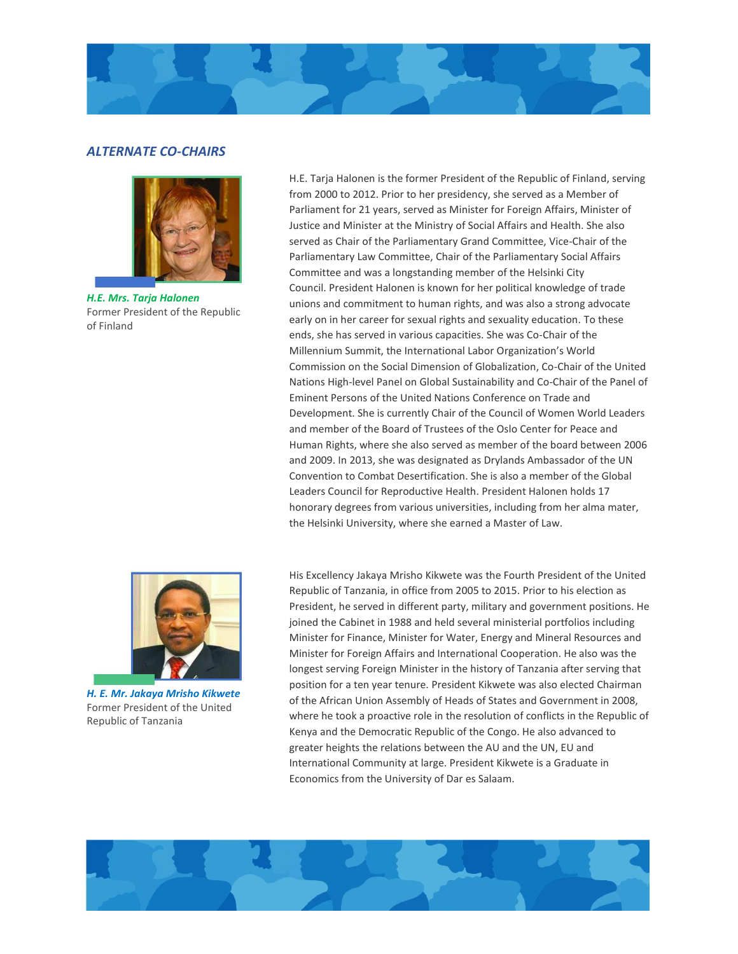

## *ALTERNATE CO-CHAIRS*



*H.E. Mrs. Tarja Halonen*  Former President of the Republic of Finland

*H. E. Mr. Jakaya Mrisho Kikwete*  Former President of the United Republic of Tanzania

H.E. Tarja Halonen is the former President of the Republic of Finland, serving from 2000 to 2012. Prior to her presidency, she served as a Member of Parliament for 21 years, served as Minister for Foreign Affairs, Minister of Justice and Minister at the Ministry of Social Affairs and Health. She also served as Chair of the Parliamentary Grand Committee, Vice-Chair of the Parliamentary Law Committee, Chair of the Parliamentary Social Affairs Committee and was a longstanding member of the Helsinki City Council. President Halonen is known for her political knowledge of trade unions and commitment to human rights, and was also a strong advocate early on in her career for sexual rights and sexuality education. To these ends, she has served in various capacities. She was Co-Chair of the Millennium Summit, the International Labor Organization's World Commission on the Social Dimension of Globalization, Co-Chair of the United Nations High-level Panel on Global Sustainability and Co-Chair of the Panel of Eminent Persons of the United Nations Conference on Trade and Development. She is currently Chair of the Council of Women World Leaders and member of the Board of Trustees of the Oslo Center for Peace and Human Rights, where she also served as member of the board between 2006 and 2009. In 2013, she was designated as Drylands Ambassador of the UN Convention to Combat Desertification. She is also a member of the Global Leaders Council for Reproductive Health. President Halonen holds 17 honorary degrees from various universities, including from her alma mater, the Helsinki University, where she earned a Master of Law.

His Excellency Jakaya Mrisho Kikwete was the Fourth President of the United Republic of Tanzania, in office from 2005 to 2015. Prior to his election as President, he served in different party, military and government positions. He joined the Cabinet in 1988 and held several ministerial portfolios including Minister for Finance, Minister for Water, Energy and Mineral Resources and Minister for Foreign Affairs and International Cooperation. He also was the longest serving Foreign Minister in the history of Tanzania after serving that position for a ten year tenure. President Kikwete was also elected Chairman of the African Union Assembly of Heads of States and Government in 2008, where he took a proactive role in the resolution of conflicts in the Republic of Kenya and the Democratic Republic of the Congo. He also advanced to greater heights the relations between the AU and the UN, EU and International Community at large. President Kikwete is a Graduate in Economics from the University of Dar es Salaam.

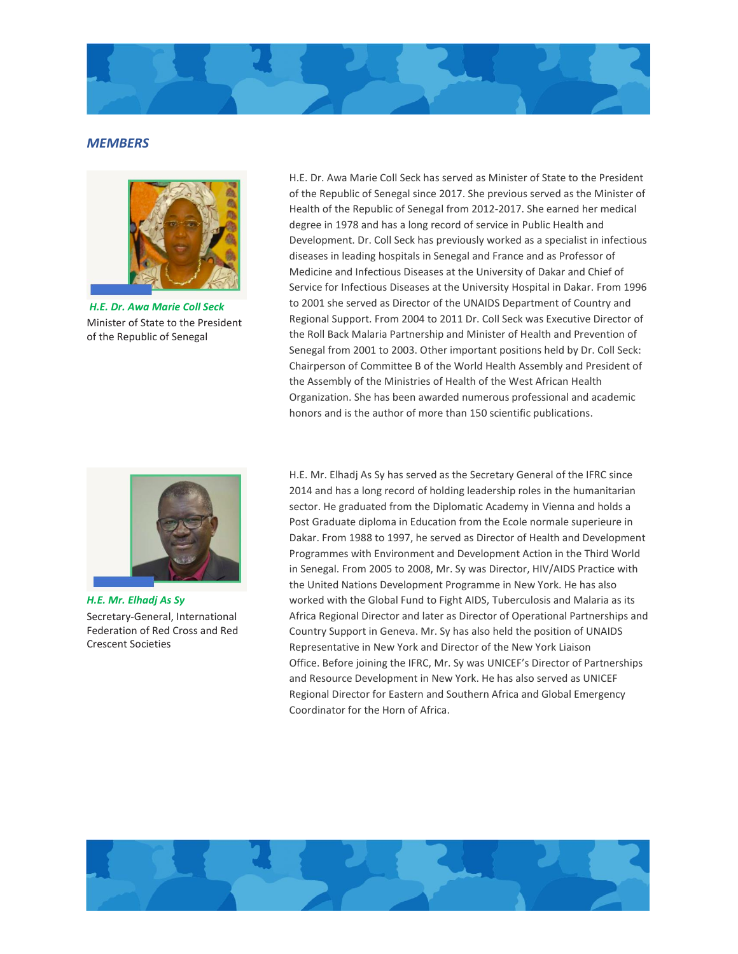

## *MEMBERS*



*H.E. Dr. Awa Marie Coll Seck* Minister of State to the President of the Republic of Senegal

H.E. Dr. Awa Marie Coll Seck has served as Minister of State to the President of the Republic of Senegal since 2017. She previous served as the Minister of Health of the Republic of Senegal from 2012-2017. She earned her medical degree in 1978 and has a long record of service in Public Health and Development. Dr. Coll Seck has previously worked as a specialist in infectious diseases in leading hospitals in Senegal and France and as Professor of Medicine and Infectious Diseases at the University of Dakar and Chief of Service for Infectious Diseases at the University Hospital in Dakar. From 1996 to 2001 she served as Director of the UNAIDS Department of Country and Regional Support. From 2004 to 2011 Dr. Coll Seck was Executive Director of the Roll Back Malaria Partnership and Minister of Health and Prevention of Senegal from 2001 to 2003. Other important positions held by Dr. Coll Seck: Chairperson of Committee B of the World Health Assembly and President of the Assembly of the Ministries of Health of the West African Health Organization. She has been awarded numerous professional and academic honors and is the author of more than 150 scientific publications.



*H.E. Mr. Elhadj As Sy* Secretary-General, International Federation of Red Cross and Red Crescent Societies

H.E. Mr. Elhadj As Sy has served as the Secretary General of the IFRC since 2014 and has a long record of holding leadership roles in the humanitarian sector. He graduated from the Diplomatic Academy in Vienna and holds a Post Graduate diploma in Education from the Ecole normale superieure in Dakar. From 1988 to 1997, he served as Director of Health and Development Programmes with Environment and Development Action in the Third World in Senegal. From 2005 to 2008, Mr. Sy was Director, HIV/AIDS Practice with the United Nations Development Programme in New York. He has also worked with the Global Fund to Fight AIDS, Tuberculosis and Malaria as its Africa Regional Director and later as Director of Operational Partnerships and Country Support in Geneva. Mr. Sy has also held the position of UNAIDS Representative in New York and Director of the New York Liaison Office. Before joining the IFRC, Mr. Sy was UNICEF's Director of Partnerships and Resource Development in New York. He has also served as UNICEF Regional Director for Eastern and Southern Africa and Global Emergency Coordinator for the Horn of Africa.

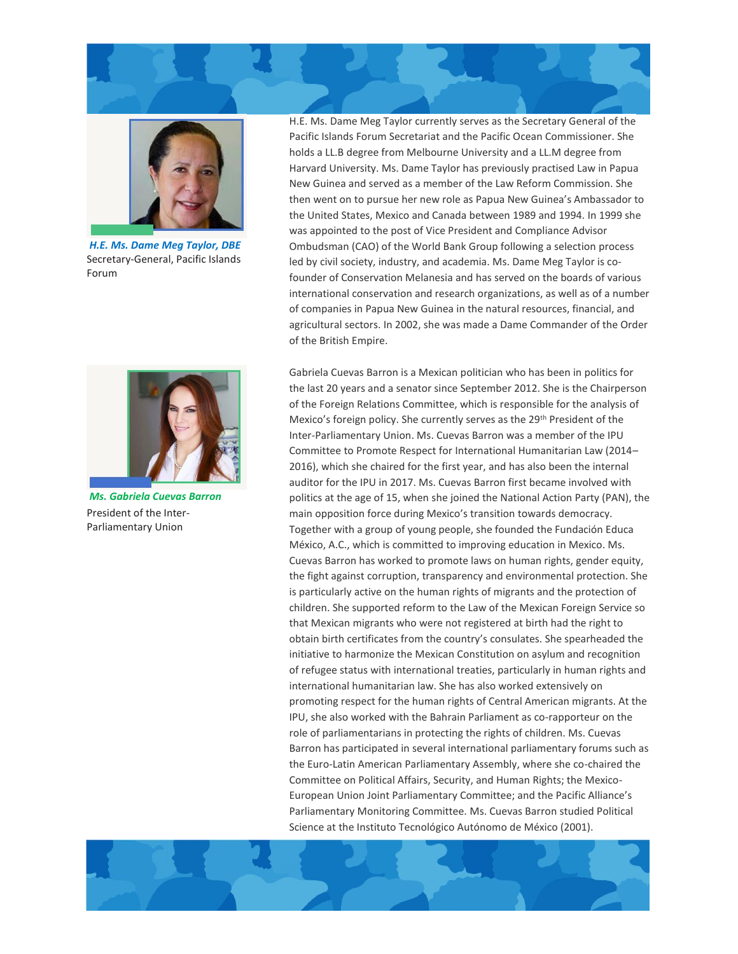



*H.E. Ms. Dame Meg Taylor, DBE* Secretary-General, Pacific Islands Forum



*Ms. Gabriela Cuevas Barron* President of the Inter-Parliamentary Union

H.E. Ms. Dame Meg Taylor currently serves as the Secretary General of the Pacific Islands Forum Secretariat and the Pacific Ocean Commissioner. She holds a LL.B degree from Melbourne University and a LL.M degree from Harvard University. Ms. Dame Taylor has previously practised Law in Papua New Guinea and served as a member of the Law Reform Commission. She then went on to pursue her new role as Papua New Guinea's Ambassador to the United States, Mexico and Canada between 1989 and 1994. In 1999 she was appointed to the post of Vice President and Compliance Advisor Ombudsman (CAO) of the World Bank Group following a selection process led by civil society, industry, and academia. Ms. Dame Meg Taylor is cofounder of Conservation Melanesia and has served on the boards of various international conservation and research organizations, as well as of a number of companies in Papua New Guinea in the natural resources, financial, and agricultural sectors. In 2002, she was made a Dame Commander of the Order of the British Empire.

Gabriela Cuevas Barron is a Mexican politician who has been in politics for the last 20 years and a senator since September 2012. She is the Chairperson of the Foreign Relations Committee, which is responsible for the analysis of Mexico's foreign policy. She currently serves as the 29<sup>th</sup> President of the Inter-Parliamentary Union. Ms. Cuevas Barron was a member of the IPU Committee to Promote Respect for International Humanitarian Law (2014– 2016), which she chaired for the first year, and has also been the internal auditor for the IPU in 2017. Ms. Cuevas Barron first became involved with politics at the age of 15, when she joined the National Action Party (PAN), the main opposition force during Mexico's transition towards democracy. Together with a group of young people, she founded the Fundación Educa México, A.C., which is committed to improving education in Mexico. Ms. Cuevas Barron has worked to promote laws on human rights, gender equity, the fight against corruption, transparency and environmental protection. She is particularly active on the human rights of migrants and the protection of children. She supported reform to the Law of the Mexican Foreign Service so that Mexican migrants who were not registered at birth had the right to obtain birth certificates from the country's consulates. She spearheaded the initiative to harmonize the Mexican Constitution on asylum and recognition of refugee status with international treaties, particularly in human rights and international humanitarian law. She has also worked extensively on promoting respect for the human rights of Central American migrants. At the IPU, she also worked with the Bahrain Parliament as co-rapporteur on the role of parliamentarians in protecting the rights of children. Ms. Cuevas Barron has participated in several international parliamentary forums such as the Euro-Latin American Parliamentary Assembly, where she co-chaired the Committee on Political Affairs, Security, and Human Rights; the Mexico-European Union Joint Parliamentary Committee; and the Pacific Alliance's Parliamentary Monitoring Committee. Ms. Cuevas Barron studied Political Science at the Instituto Tecnológico Autónomo de México (2001).

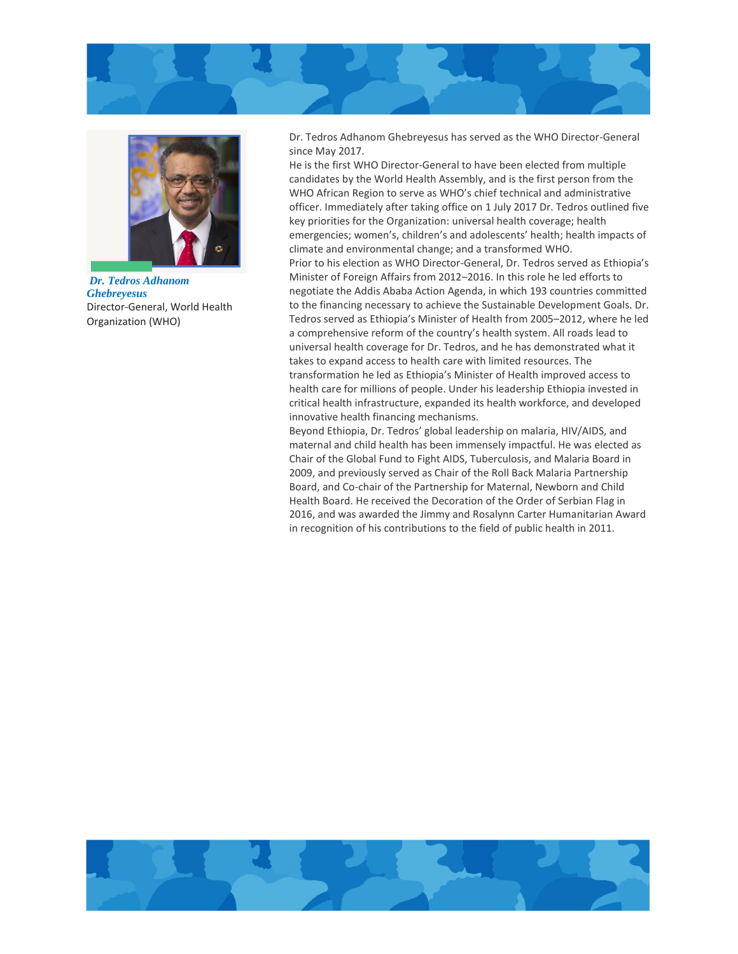



*Dr. Tedros Adhanom Ghebreyesus* Director-General, World Health Organization (WHO)

Dr. Tedros Adhanom Ghebreyesus has served as the WHO Director-General since May 2017.

He is the first WHO Director-General to have been elected from multiple candidates by the World Health Assembly, and is the first person from the WHO African Region to serve as WHO's chief technical and administrative officer. Immediately after taking office on 1 July 2017 Dr. Tedros outlined five key priorities for the Organization: universal health coverage; health emergencies; women's, children's and adolescents' health; health impacts of climate and environmental change; and a transformed WHO. Prior to his election as WHO Director-General, Dr. Tedros served as Ethiopia's Minister of Foreign Affairs from 2012–2016. In this role he led efforts to negotiate the Addis Ababa Action Agenda, in which 193 countries committed to the financing necessary to achieve the Sustainable Development Goals. Dr. Tedros served as Ethiopia's Minister of Health from 2005–2012, where he led a comprehensive reform of the country's health system. All roads lead to universal health coverage for Dr. Tedros, and he has demonstrated what it takes to expand access to health care with limited resources. The transformation he led as Ethiopia's Minister of Health improved access to health care for millions of people. Under his leadership Ethiopia invested in critical health infrastructure, expanded its health workforce, and developed innovative health financing mechanisms.

Beyond Ethiopia, Dr. Tedros' global leadership on malaria, HIV/AIDS, and maternal and child health has been immensely impactful. He was elected as Chair of the Global Fund to Fight AIDS, Tuberculosis, and Malaria Board in 2009, and previously served as Chair of the Roll Back Malaria Partnership Board, and Co-chair of the Partnership for Maternal, Newborn and Child Health Board. He received the Decoration of the Order of Serbian Flag in 2016, and was awarded the Jimmy and Rosalynn Carter Humanitarian Award in recognition of his contributions to the field of public health in 2011.

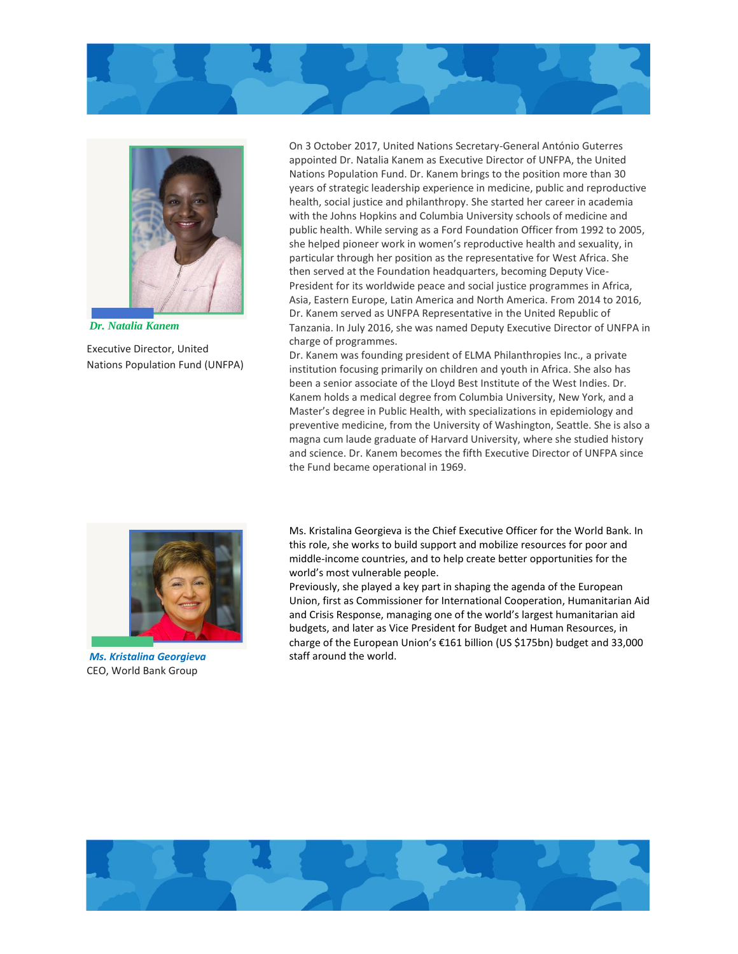



*Dr. Natalia Kanem*

Executive Director, United Nations Population Fund (UNFPA)

On 3 October 2017, United Nations Secretary-General António Guterres appointed Dr. Natalia Kanem as Executive Director of UNFPA, the United Nations Population Fund. Dr. Kanem brings to the position more than 30 years of strategic leadership experience in medicine, public and reproductive health, social justice and philanthropy. She started her career in academia with the Johns Hopkins and Columbia University schools of medicine and public health. While serving as a Ford Foundation Officer from 1992 to 2005, she helped pioneer work in women's reproductive health and sexuality, in particular through her position as the representative for West Africa. She then served at the Foundation headquarters, becoming Deputy Vice-President for its worldwide peace and social justice programmes in Africa, Asia, Eastern Europe, Latin America and North America. From 2014 to 2016, Dr. Kanem served as UNFPA Representative in the United Republic of Tanzania. In July 2016, she was named Deputy Executive Director of UNFPA in charge of programmes.

Dr. Kanem was founding president of ELMA Philanthropies Inc., a private institution focusing primarily on children and youth in Africa. She also has been a senior associate of the Lloyd Best Institute of the West Indies. Dr. Kanem holds a medical degree from Columbia University, New York, and a Master's degree in Public Health, with specializations in epidemiology and preventive medicine, from the University of Washington, Seattle. She is also a magna cum laude graduate of Harvard University, where she studied history and science. Dr. Kanem becomes the fifth Executive Director of UNFPA since the Fund became operational in 1969.



*Ms. Kristalina Georgieva* CEO, World Bank Group

Ms. Kristalina Georgieva is the Chief Executive Officer for the World Bank. In this role, she works to build support and mobilize resources for poor and middle-income countries, and to help create better opportunities for the world's most vulnerable people.

Previously, she played a key part in shaping the agenda of the European Union, first as Commissioner for International Cooperation, Humanitarian Aid and Crisis Response, managing one of the world's largest humanitarian aid budgets, and later as Vice President for Budget and Human Resources, in charge of the European Union's €161 billion (US \$175bn) budget and 33,000 staff around the world.

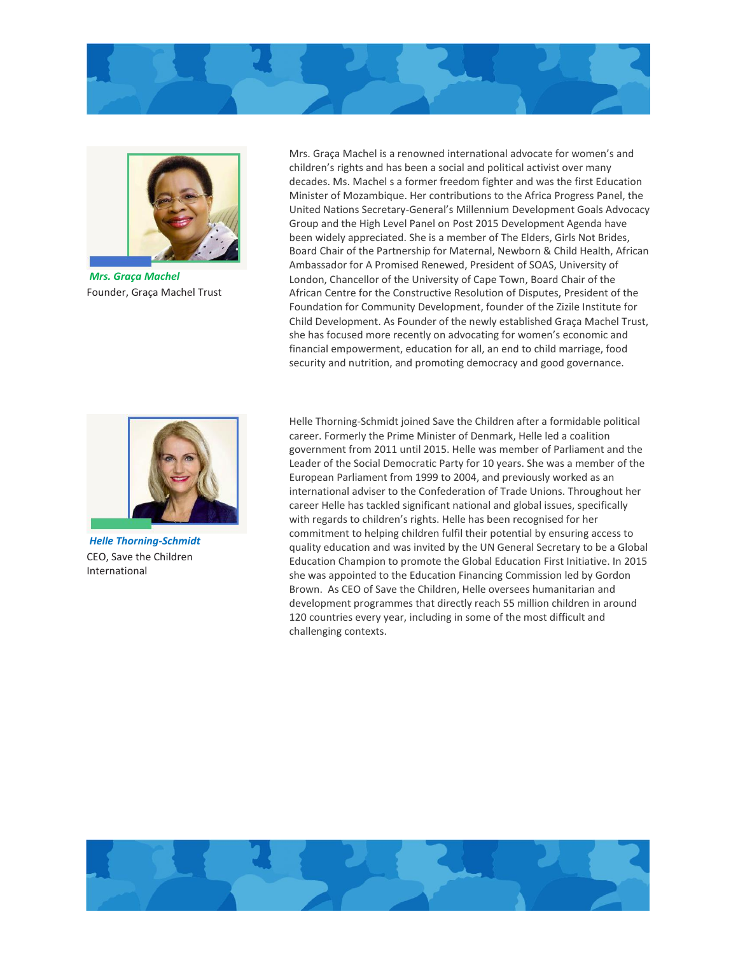



*Mrs. Graça Machel* Founder, Graça Machel Trust

Mrs. Graça Machel is a renowned international advocate for women's and children's rights and has been a social and political activist over many decades. Ms. Machel s a former freedom fighter and was the first Education Minister of Mozambique. Her contributions to the Africa Progress Panel, the United Nations Secretary-General's Millennium Development Goals Advocacy Group and the High Level Panel on Post 2015 Development Agenda have been widely appreciated. She is a member of The Elders, Girls Not Brides, Board Chair of the Partnership for Maternal, Newborn & Child Health, African Ambassador for A Promised Renewed, President of SOAS, University of London, Chancellor of the University of Cape Town, Board Chair of the African Centre for the Constructive Resolution of Disputes, President of the Foundation for Community Development, founder of the Zizile Institute for Child Development. As Founder of the newly established Graça Machel Trust, she has focused more recently on advocating for women's economic and financial empowerment, education for all, an end to child marriage, food security and nutrition, and promoting democracy and good governance.



*Helle Thorning-Schmidt* CEO, Save the Children International

Helle Thorning-Schmidt joined Save the Children after a formidable political career. Formerly the Prime Minister of Denmark, Helle led a coalition government from 2011 until 2015. Helle was member of Parliament and the Leader of the Social Democratic Party for 10 years. She was a member of the European Parliament from 1999 to 2004, and previously worked as an international adviser to the Confederation of Trade Unions. Throughout her career Helle has tackled significant national and global issues, specifically with regards to children's rights. Helle has been recognised for her commitment to helping children fulfil their potential by ensuring access to quality education and was invited by the UN General Secretary to be a Global Education Champion to promote the Global Education First Initiative. In 2015 she was appointed to the Education Financing Commission led by Gordon Brown. As CEO of Save the Children, Helle oversees humanitarian and development programmes that directly reach 55 million children in around 120 countries every year, including in some of the most difficult and challenging contexts.

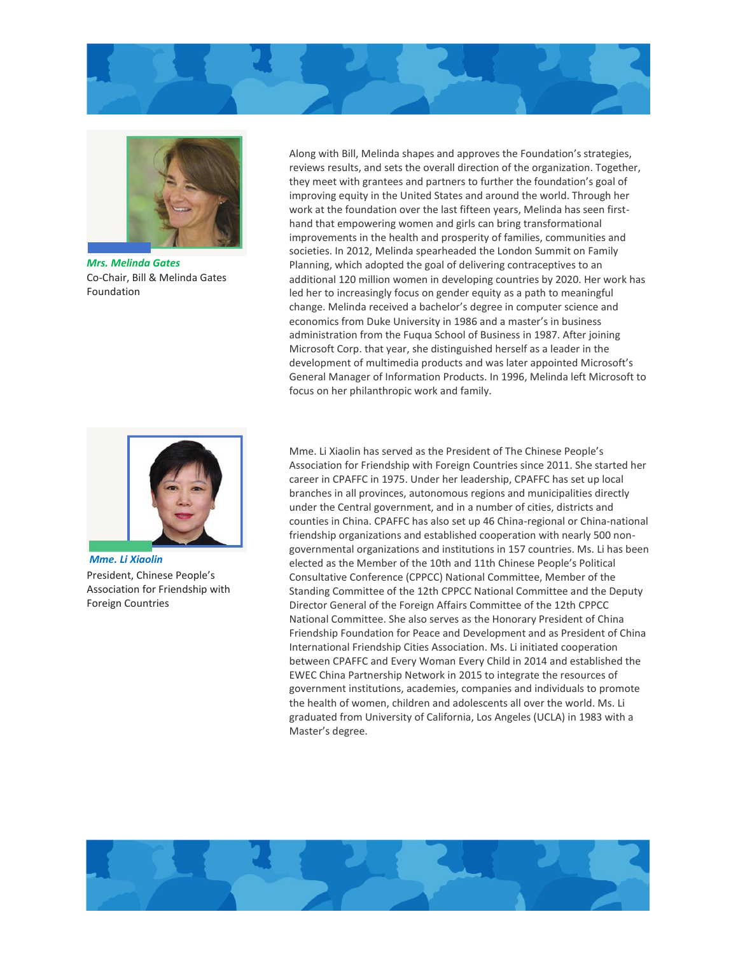



*Mrs. Melinda Gates* Co-Chair, Bill & Melinda Gates Foundation

Along with Bill, Melinda shapes and approves the Foundation's strategies, reviews results, and sets the overall direction of the organization. Together, they meet with grantees and partners to further the foundation's goal of improving equity in the United States and around the world. Through her work at the foundation over the last fifteen years, Melinda has seen firsthand that empowering women and girls can bring transformational improvements in the health and prosperity of families, communities and societies. In 2012, Melinda spearheaded the London Summit on Family Planning, which adopted the goal of delivering contraceptives to an additional 120 million women in developing countries by 2020. Her work has led her to increasingly focus on gender equity as a path to meaningful change. Melinda received a bachelor's degree in computer science and economics from Duke University in 1986 and a master's in business administration from the Fuqua School of Business in 1987. After joining Microsoft Corp. that year, she distinguished herself as a leader in the development of multimedia products and was later appointed Microsoft's General Manager of Information Products. In 1996, Melinda left Microsoft to focus on her philanthropic work and family.



*Mme. Li Xiaolin* President, Chinese People's Association for Friendship with Foreign Countries

Mme. Li Xiaolin has served as the President of The Chinese People's Association for Friendship with Foreign Countries since 2011. She started her career in CPAFFC in 1975. Under her leadership, CPAFFC has set up local branches in all provinces, autonomous regions and municipalities directly under the Central government, and in a number of cities, districts and counties in China. CPAFFC has also set up 46 China-regional or China-national friendship organizations and established cooperation with nearly 500 nongovernmental organizations and institutions in 157 countries. Ms. Li has been elected as the Member of the 10th and 11th Chinese People's Political Consultative Conference (CPPCC) National Committee, Member of the Standing Committee of the 12th CPPCC National Committee and the Deputy Director General of the Foreign Affairs Committee of the 12th CPPCC National Committee. She also serves as the Honorary President of China Friendship Foundation for Peace and Development and as President of China International Friendship Cities Association. Ms. Li initiated cooperation between CPAFFC and Every Woman Every Child in 2014 and established the EWEC China Partnership Network in 2015 to integrate the resources of government institutions, academies, companies and individuals to promote the health of women, children and adolescents all over the world. Ms. Li graduated from University of California, Los Angeles (UCLA) in 1983 with a Master's degree.